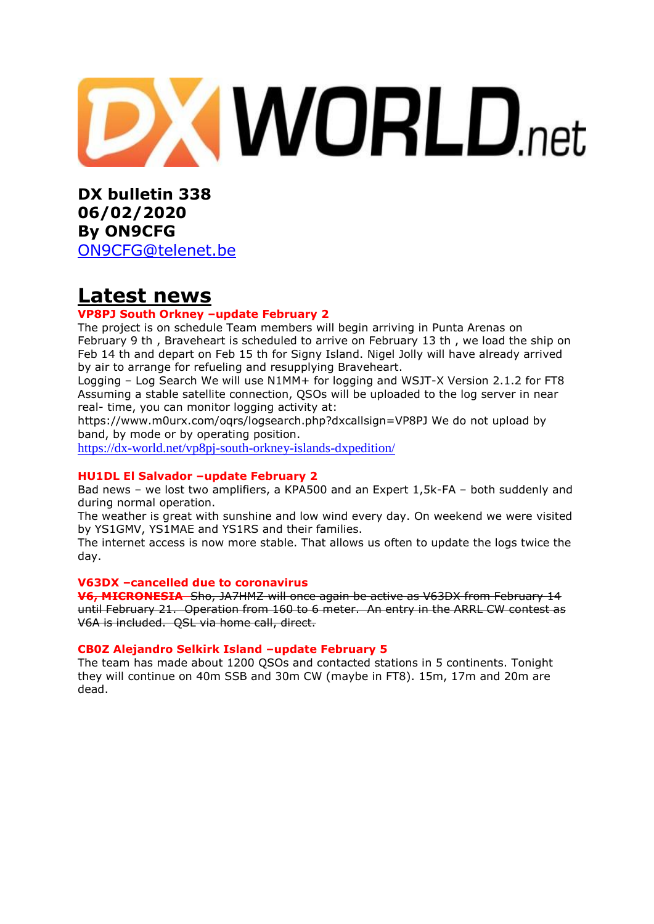

**DX bulletin 338 06/02/2020 By ON9CFG**  [ON9CFG@telenet.be](mailto:ON9CFG@telenet.be)

## **Latest news**

#### **VP8PJ South Orkney –update February 2**

The project is on schedule Team members will begin arriving in Punta Arenas on February 9 th , Braveheart is scheduled to arrive on February 13 th , we load the ship on Feb 14 th and depart on Feb 15 th for Signy Island. Nigel Jolly will have already arrived by air to arrange for refueling and resupplying Braveheart.

Logging – Log Search We will use N1MM+ for logging and WSJT-X Version 2.1.2 for FT8 Assuming a stable satellite connection, QSOs will be uploaded to the log server in near real- time, you can monitor logging activity at:

https://www.m0urx.com/oqrs/logsearch.php?dxcallsign=VP8PJ We do not upload by band, by mode or by operating position.

<https://dx-world.net/vp8pj-south-orkney-islands-dxpedition/>

#### **HU1DL El Salvador –update February 2**

Bad news – we lost two amplifiers, a KPA500 and an Expert 1,5k-FA – both suddenly and during normal operation.

The weather is great with sunshine and low wind every day. On weekend we were visited by YS1GMV, YS1MAE and YS1RS and their families.

The internet access is now more stable. That allows us often to update the logs twice the day.

#### **V63DX –cancelled due to coronavirus**

**V6, MICRONESIA** Sho, JA7HMZ will once again be active as V63DX from February 14 until February 21. Operation from 160 to 6 meter. An entry in the ARRL CW contest as V6A is included. QSL via home call, direct.

#### **CB0Z Alejandro Selkirk Island –update February 5**

The team has made about 1200 QSOs and contacted stations in 5 continents. Tonight they will continue on 40m SSB and 30m CW (maybe in FT8). 15m, 17m and 20m are dead.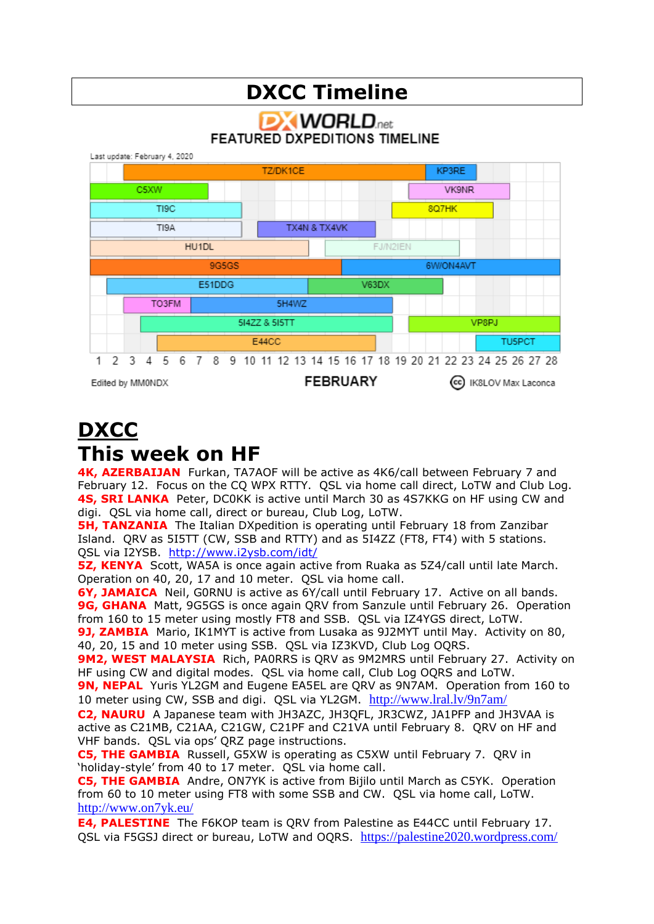# **DXCC Timeline**

**DXWORLD FEATURED DXPEDITIONS TIMELINE** 



### **DXCC This week on HF**

**4K, AZERBAIJAN** Furkan, TA7AOF will be active as 4K6/call between February 7 and February 12. Focus on the CQ WPX RTTY. QSL via home call direct, LoTW and Club Log. **4S, SRI LANKA** Peter, DC0KK is active until March 30 as 4S7KKG on HF using CW and digi. QSL via home call, direct or bureau, Club Log, LoTW.

**5H, TANZANIA** The Italian DXpedition is operating until February 18 from Zanzibar Island. QRV as 5I5TT (CW, SSB and RTTY) and as 5I4ZZ (FT8, FT4) with 5 stations. QSL via I2YSB. <http://www.i2ysb.com/idt/>

**5Z, KENYA** Scott, WA5A is once again active from Ruaka as 5Z4/call until late March. Operation on 40, 20, 17 and 10 meter. QSL via home call.

**6Y, JAMAICA** Neil, G0RNU is active as 6Y/call until February 17. Active on all bands. **9G, GHANA** Matt, 9G5GS is once again QRV from Sanzule until February 26. Operation from 160 to 15 meter using mostly FT8 and SSB. QSL via IZ4YGS direct, LoTW.

**9J, ZAMBIA** Mario, IK1MYT is active from Lusaka as 9J2MYT until May. Activity on 80, 40, 20, 15 and 10 meter using SSB. QSL via IZ3KVD, Club Log OQRS.

**9M2, WEST MALAYSIA** Rich, PA0RRS is QRV as 9M2MRS until February 27. Activity on HF using CW and digital modes. QSL via home call, Club Log OQRS and LoTW.

**9N, NEPAL** Yuris YL2GM and Eugene EA5EL are QRV as 9N7AM. Operation from 160 to 10 meter using CW, SSB and digi. QSL via YL2GM. <http://www.lral.lv/9n7am/>

**C2, NAURU** A Japanese team with JH3AZC, JH3QFL, JR3CWZ, JA1PFP and JH3VAA is active as C21MB, C21AA, C21GW, C21PF and C21VA until February 8. QRV on HF and VHF bands. QSL via ops' QRZ page instructions.

**C5, THE GAMBIA** Russell, G5XW is operating as C5XW until February 7. QRV in 'holiday-style' from 40 to 17 meter. QSL via home call.

**C5, THE GAMBIA** Andre, ON7YK is active from Bijilo until March as C5YK. Operation from 60 to 10 meter using FT8 with some SSB and CW. QSL via home call, LoTW. <http://www.on7yk.eu/>

**E4, PALESTINE** The F6KOP team is QRV from Palestine as E44CC until February 17. QSL via F5GSJ direct or bureau, LoTW and OQRS. <https://palestine2020.wordpress.com/>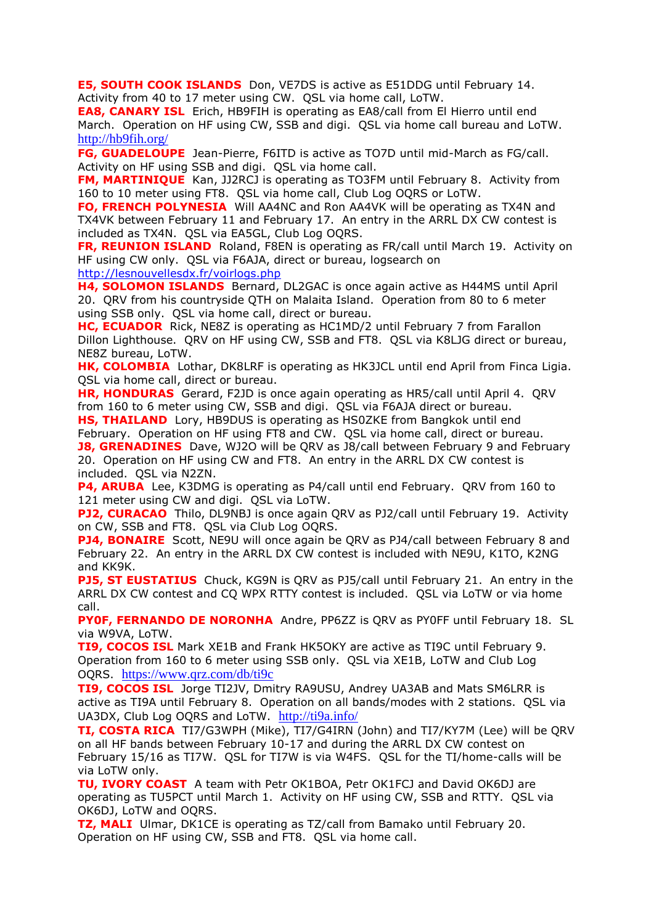**E5, SOUTH COOK ISLANDS** Don, VE7DS is active as E51DDG until February 14. Activity from 40 to 17 meter using CW. QSL via home call, LoTW.

**EA8, CANARY ISL** Erich, HB9FIH is operating as EA8/call from El Hierro until end March. Operation on HF using CW, SSB and digi. QSL via home call bureau and LoTW. <http://hb9fih.org/>

**FG, GUADELOUPE** Jean-Pierre, F6ITD is active as TO7D until mid-March as FG/call. Activity on HF using SSB and digi. QSL via home call.

**FM, MARTINIQUE** Kan, JJ2RCJ is operating as TO3FM until February 8. Activity from 160 to 10 meter using FT8. QSL via home call, Club Log OQRS or LoTW.

**FO, FRENCH POLYNESIA** Will AA4NC and Ron AA4VK will be operating as TX4N and TX4VK between February 11 and February 17. An entry in the ARRL DX CW contest is included as TX4N. QSL via EA5GL, Club Log OQRS.

**FR, REUNION ISLAND** Roland, F8EN is operating as FR/call until March 19. Activity on HF using CW only. QSL via F6AJA, direct or bureau, logsearch on <http://lesnouvellesdx.fr/voirlogs.php>

**H4, SOLOMON ISLANDS** Bernard, DL2GAC is once again active as H44MS until April 20. QRV from his countryside QTH on Malaita Island. Operation from 80 to 6 meter using SSB only. QSL via home call, direct or bureau.

**HC, ECUADOR** Rick, NE8Z is operating as HC1MD/2 until February 7 from Farallon Dillon Lighthouse. QRV on HF using CW, SSB and FT8. QSL via K8LJG direct or bureau, NE8Z bureau, LoTW.

**HK, COLOMBIA** Lothar, DK8LRF is operating as HK3JCL until end April from Finca Ligia. QSL via home call, direct or bureau.

**HR, HONDURAS** Gerard, F2JD is once again operating as HR5/call until April 4. QRV from 160 to 6 meter using CW, SSB and digi. QSL via F6AJA direct or bureau.

**HS, THAILAND** Lory, HB9DUS is operating as HS0ZKE from Bangkok until end February. Operation on HF using FT8 and CW. QSL via home call, direct or bureau. **J8, GRENADINES** Dave, WJ2O will be QRV as J8/call between February 9 and February 20. Operation on HF using CW and FT8. An entry in the ARRL DX CW contest is

included. QSL via N2ZN.

**P4, ARUBA** Lee, K3DMG is operating as P4/call until end February. QRV from 160 to 121 meter using CW and digi. QSL via LoTW.

**PJ2, CURACAO** Thilo, DL9NBJ is once again ORV as PJ2/call until February 19. Activity on CW, SSB and FT8. QSL via Club Log OQRS.

**PJ4, BONAIRE** Scott, NE9U will once again be QRV as PJ4/call between February 8 and February 22. An entry in the ARRL DX CW contest is included with NE9U, K1TO, K2NG and KK9K.

**PJ5, ST EUSTATIUS** Chuck, KG9N is QRV as PJ5/call until February 21. An entry in the ARRL DX CW contest and CQ WPX RTTY contest is included. QSL via LoTW or via home call.

**PY0F, FERNANDO DE NORONHA** Andre, PP6ZZ is QRV as PY0FF until February 18. SL via W9VA, LoTW.

**TI9, COCOS ISL** Mark XE1B and Frank HK5OKY are active as TI9C until February 9. Operation from 160 to 6 meter using SSB only. QSL via XE1B, LoTW and Club Log OQRS. <https://www.qrz.com/db/ti9c>

**TI9, COCOS ISL** Jorge TI2JV, Dmitry RA9USU, Andrey UA3AB and Mats SM6LRR is active as TI9A until February 8. Operation on all bands/modes with 2 stations. QSL via UA3DX, Club Log OQRS and LoTW. <http://ti9a.info/>

**TI, COSTA RICA** TI7/G3WPH (Mike), TI7/G4IRN (John) and TI7/KY7M (Lee) will be QRV on all HF bands between February 10-17 and during the ARRL DX CW contest on February 15/16 as TI7W. QSL for TI7W is via W4FS. QSL for the TI/home-calls will be via LoTW only.

**TU, IVORY COAST** A team with Petr OK1BOA, Petr OK1FCJ and David OK6DJ are operating as TU5PCT until March 1. Activity on HF using CW, SSB and RTTY. QSL via OK6DJ, LoTW and OQRS.

**TZ, MALI** Ulmar, DK1CE is operating as TZ/call from Bamako until February 20. Operation on HF using CW, SSB and FT8. QSL via home call.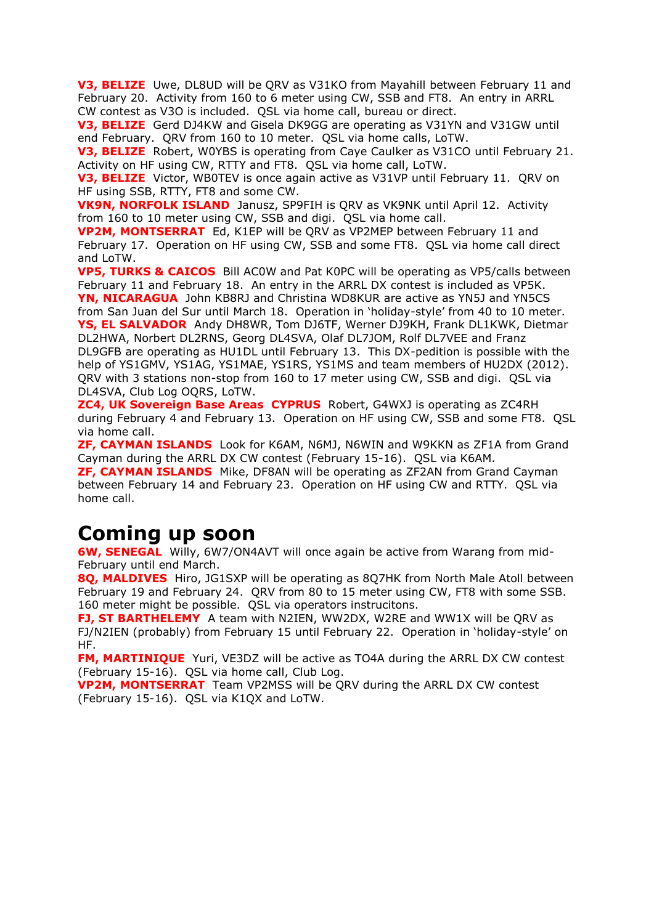**V3, BELIZE** Uwe, DL8UD will be QRV as V31KO from Mayahill between February 11 and February 20. Activity from 160 to 6 meter using CW, SSB and FT8. An entry in ARRL CW contest as V3O is included. QSL via home call, bureau or direct.

**V3, BELIZE** Gerd DJ4KW and Gisela DK9GG are operating as V31YN and V31GW until end February. QRV from 160 to 10 meter. QSL via home calls, LoTW.

**V3, BELIZE** Robert, W0YBS is operating from Caye Caulker as V31CO until February 21. Activity on HF using CW, RTTY and FT8. QSL via home call, LoTW.

**V3, BELIZE** Victor, WB0TEV is once again active as V31VP until February 11. ORV on HF using SSB, RTTY, FT8 and some CW.

**VK9N, NORFOLK ISLAND** Janusz, SP9FIH is QRV as VK9NK until April 12. Activity from 160 to 10 meter using CW, SSB and digi. QSL via home call.

**VP2M, MONTSERRAT** Ed, K1EP will be QRV as VP2MEP between February 11 and February 17. Operation on HF using CW, SSB and some FT8. QSL via home call direct and LoTW.

**VP5, TURKS & CAICOS** Bill AC0W and Pat K0PC will be operating as VP5/calls between February 11 and February 18. An entry in the ARRL DX contest is included as VP5K. **YN, NICARAGUA** John KB8RJ and Christina WD8KUR are active as YN5J and YN5CS from San Juan del Sur until March 18. Operation in 'holiday-style' from 40 to 10 meter. **YS, EL SALVADOR** Andy DH8WR, Tom DJ6TF, Werner DJ9KH, Frank DL1KWK, Dietmar DL2HWA, Norbert DL2RNS, Georg DL4SVA, Olaf DL7JOM, Rolf DL7VEE and Franz

DL9GFB are operating as HU1DL until February 13. This DX-pedition is possible with the help of YS1GMV, YS1AG, YS1MAE, YS1RS, YS1MS and team members of HU2DX (2012). QRV with 3 stations non-stop from 160 to 17 meter using CW, SSB and digi. QSL via DL4SVA, Club Log OQRS, LoTW.

**ZC4, UK Sovereign Base Areas CYPRUS** Robert, G4WXJ is operating as ZC4RH during February 4 and February 13. Operation on HF using CW, SSB and some FT8. QSL via home call.

**ZF, CAYMAN ISLANDS** Look for K6AM, N6MJ, N6WIN and W9KKN as ZF1A from Grand Cayman during the ARRL DX CW contest (February 15-16). QSL via K6AM.

**ZF, CAYMAN ISLANDS** Mike, DF8AN will be operating as ZF2AN from Grand Cayman between February 14 and February 23. Operation on HF using CW and RTTY. QSL via home call.

## **Coming up soon**

**6W, SENEGAL** Willy, 6W7/ON4AVT will once again be active from Warang from mid-February until end March.

**8Q, MALDIVES** Hiro, JG1SXP will be operating as 8Q7HK from North Male Atoll between February 19 and February 24. QRV from 80 to 15 meter using CW, FT8 with some SSB. 160 meter might be possible. QSL via operators instrucitons.

**FJ, ST BARTHELEMY** A team with N2IEN, WW2DX, W2RE and WW1X will be QRV as FJ/N2IEN (probably) from February 15 until February 22. Operation in 'holiday-style' on HF.

**FM, MARTINIQUE** Yuri, VE3DZ will be active as TO4A during the ARRL DX CW contest (February 15-16). QSL via home call, Club Log.

**VP2M, MONTSERRAT** Team VP2MSS will be QRV during the ARRL DX CW contest (February 15-16). QSL via K1QX and LoTW.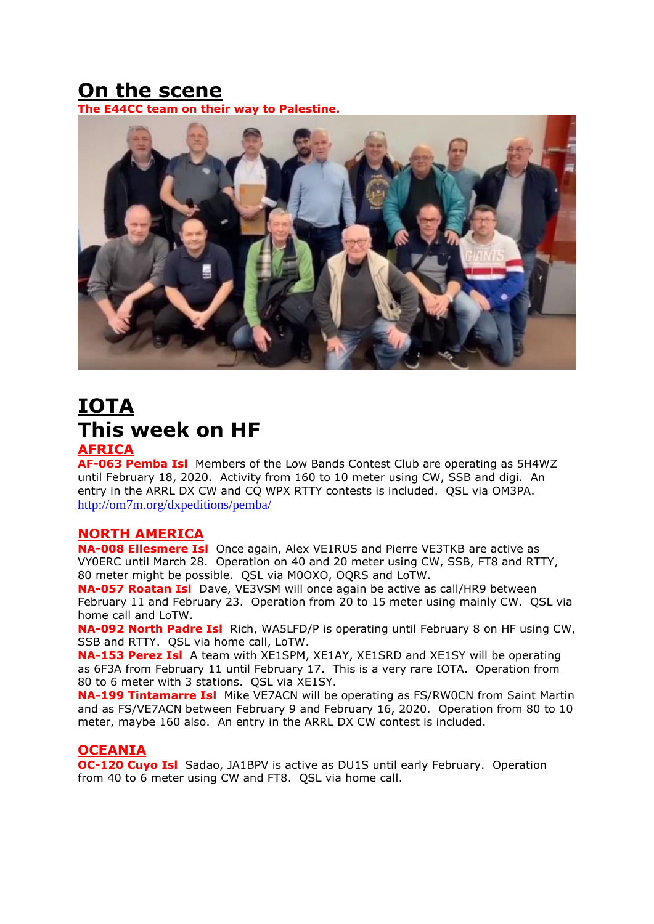# **On the scene**

**The E44CC team on their way to Palestine.**



# **IOTA This week on HF**

### **AFRICA**

**AF-063 Pemba Isl** Members of the Low Bands Contest Club are operating as 5H4WZ until February 18, 2020. Activity from 160 to 10 meter using CW, SSB and digi. An entry in the ARRL DX CW and CQ WPX RTTY contests is included. QSL via OM3PA. <http://om7m.org/dxpeditions/pemba/>

#### **NORTH AMERICA**

**NA-008 Ellesmere Isl** Once again, Alex VE1RUS and Pierre VE3TKB are active as VY0ERC until March 28. Operation on 40 and 20 meter using CW, SSB, FT8 and RTTY, 80 meter might be possible. QSL via M0OXO, OQRS and LoTW.

**NA-057 Roatan Isl** Dave, VE3VSM will once again be active as call/HR9 between February 11 and February 23. Operation from 20 to 15 meter using mainly CW. QSL via home call and LoTW.

**NA-092 North Padre Isl** Rich, WA5LFD/P is operating until February 8 on HF using CW, SSB and RTTY. QSL via home call, LoTW.

**NA-153 Perez Isl** A team with XE1SPM, XE1AY, XE1SRD and XE1SY will be operating as 6F3A from February 11 until February 17. This is a very rare IOTA. Operation from 80 to 6 meter with 3 stations. QSL via XE1SY.

**NA-199 Tintamarre Isl** Mike VE7ACN will be operating as FS/RW0CN from Saint Martin and as FS/VE7ACN between February 9 and February 16, 2020. Operation from 80 to 10 meter, maybe 160 also. An entry in the ARRL DX CW contest is included.

#### **OCEANIA**

**OC-120 Cuyo Isl** Sadao, JA1BPV is active as DU1S until early February. Operation from 40 to 6 meter using CW and FT8. QSL via home call.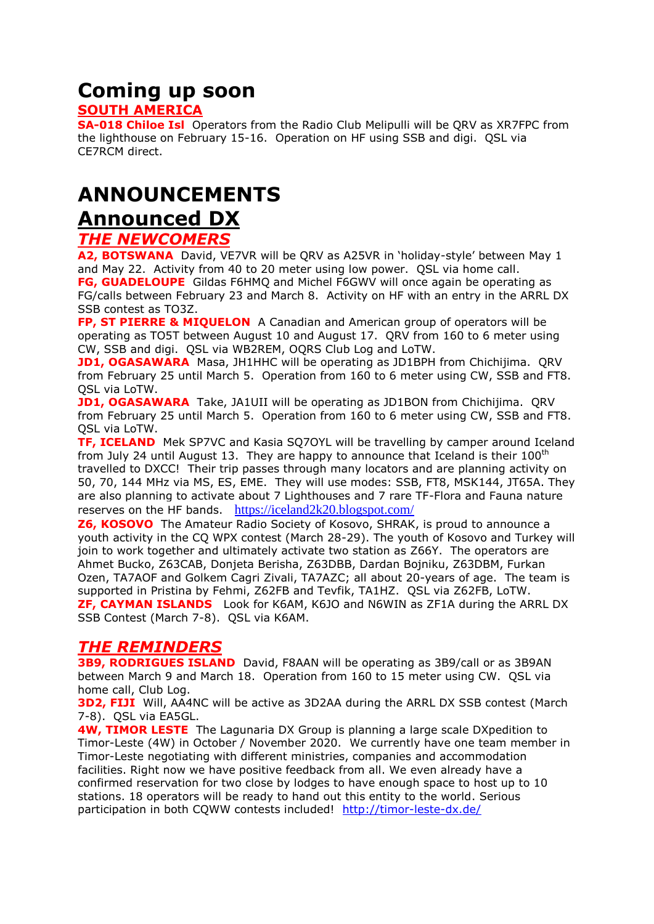# **Coming up soon**

### **SOUTH AMERICA**

**SA-018 Chiloe Isl** Operators from the Radio Club Melipulli will be QRV as XR7FPC from the lighthouse on February 15-16. Operation on HF using SSB and digi. QSL via CE7RCM direct.

### **ANNOUNCEMENTS**

### **Announced DX**

### *THE NEWCOMERS*

**A2, BOTSWANA** David, VE7VR will be QRV as A25VR in 'holiday-style' between May 1 and May 22. Activity from 40 to 20 meter using low power. QSL via home call. **FG, GUADELOUPE** Gildas F6HMQ and Michel F6GWV will once again be operating as FG/calls between February 23 and March 8. Activity on HF with an entry in the ARRL DX SSB contest as TO3Z.

**FP, ST PIERRE & MIQUELON** A Canadian and American group of operators will be operating as TO5T between August 10 and August 17. QRV from 160 to 6 meter using CW, SSB and digi. QSL via WB2REM, OQRS Club Log and LoTW.

**JD1, OGASAWARA** Masa, JH1HHC will be operating as JD1BPH from Chichijima. QRV from February 25 until March 5. Operation from 160 to 6 meter using CW, SSB and FT8. QSL via LoTW.

**JD1, OGASAWARA** Take, JA1UII will be operating as JD1BON from Chichijima. ORV from February 25 until March 5. Operation from 160 to 6 meter using CW, SSB and FT8. QSL via LoTW.

**TF, ICELAND** Mek SP7VC and Kasia SQ7OYL will be travelling by camper around Iceland from July 24 until August 13. They are happy to announce that Iceland is their  $100<sup>th</sup>$ travelled to DXCC! Their trip passes through many locators and are planning activity on 50, 70, 144 MHz via MS, ES, EME. They will use modes: SSB, FT8, MSK144, JT65A. They are also planning to activate about 7 Lighthouses and 7 rare TF-Flora and Fauna nature reserves on the HF bands. <https://iceland2k20.blogspot.com/>

**Z6, KOSOVO** The Amateur Radio Society of Kosovo, SHRAK, is proud to announce a youth activity in the CQ WPX contest (March 28-29). The youth of Kosovo and Turkey will join to work together and ultimately activate two station as Z66Y. The operators are Ahmet Bucko, Z63CAB, Donjeta Berisha, Z63DBB, Dardan Bojniku, Z63DBM, Furkan Ozen, TA7AOF and Golkem Cagri Zivali, TA7AZC; all about 20-years of age. The team is supported in Pristina by Fehmi, Z62FB and Tevfik, TA1HZ. QSL via Z62FB, LoTW. **ZF, CAYMAN ISLANDS** Look for K6AM, K6JO and N6WIN as ZF1A during the ARRL DX SSB Contest (March 7-8). QSL via K6AM.

### *THE REMINDERS*

**3B9, RODRIGUES ISLAND** David, F8AAN will be operating as 3B9/call or as 3B9AN between March 9 and March 18. Operation from 160 to 15 meter using CW. QSL via home call, Club Log.

**3D2, FIJI** Will, AA4NC will be active as 3D2AA during the ARRL DX SSB contest (March 7-8). QSL via EA5GL.

**4W, TIMOR LESTE** The Lagunaria DX Group is planning a large scale DXpedition to Timor-Leste (4W) in October / November 2020. We currently have one team member in Timor-Leste negotiating with different ministries, companies and accommodation facilities. Right now we have positive feedback from all. We even already have a confirmed reservation for two close by lodges to have enough space to host up to 10 stations. 18 operators will be ready to hand out this entity to the world. Serious participation in both CQWW contests included! <http://timor-leste-dx.de/>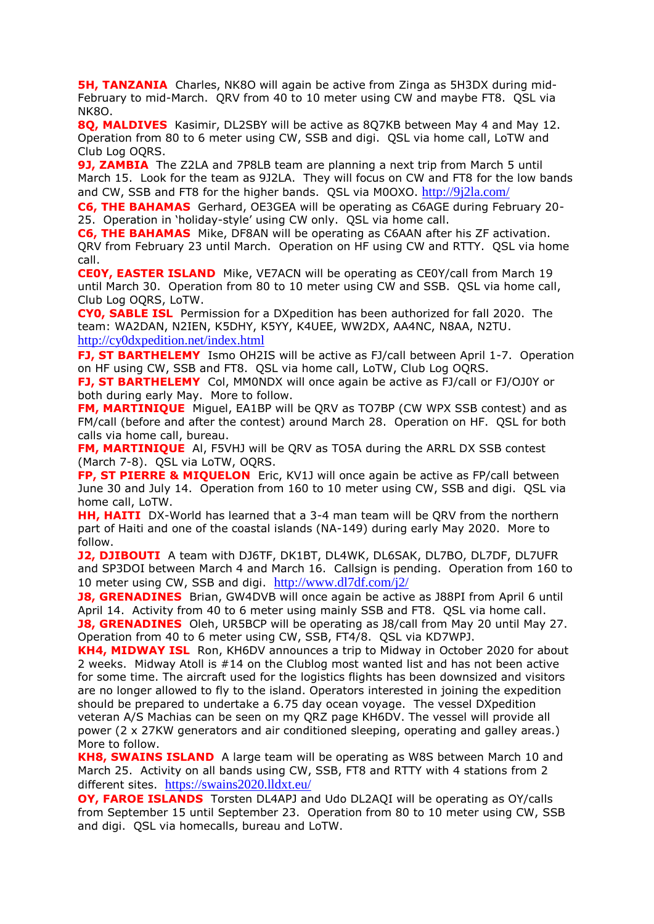**5H, TANZANIA** Charles, NK8O will again be active from Zinga as 5H3DX during mid-February to mid-March. QRV from 40 to 10 meter using CW and maybe FT8. QSL via NK8O.

**8Q, MALDIVES** Kasimir, DL2SBY will be active as 8Q7KB between May 4 and May 12. Operation from 80 to 6 meter using CW, SSB and digi. QSL via home call, LoTW and Club Log OQRS.

**9J, ZAMBIA** The Z2LA and 7P8LB team are planning a next trip from March 5 until March 15. Look for the team as 9J2LA. They will focus on CW and FT8 for the low bands and CW, SSB and FT8 for the higher bands. QSL via M0OXO. <http://9j2la.com/>

**C6, THE BAHAMAS** Gerhard, OE3GEA will be operating as C6AGE during February 20- 25. Operation in 'holiday-style' using CW only. QSL via home call.

**C6, THE BAHAMAS** Mike, DF8AN will be operating as C6AAN after his ZF activation. QRV from February 23 until March. Operation on HF using CW and RTTY. QSL via home call.

**CE0Y, EASTER ISLAND** Mike, VE7ACN will be operating as CE0Y/call from March 19 until March 30. Operation from 80 to 10 meter using CW and SSB. QSL via home call, Club Log OQRS, LoTW.

**CY0, SABLE ISL** Permission for a DXpedition has been authorized for fall 2020. The team: WA2DAN, N2IEN, K5DHY, K5YY, K4UEE, WW2DX, AA4NC, N8AA, N2TU. <http://cy0dxpedition.net/index.html>

**FJ, ST BARTHELEMY** Ismo OH2IS will be active as FJ/call between April 1-7. Operation on HF using CW, SSB and FT8. QSL via home call, LoTW, Club Log OQRS.

**FJ, ST BARTHELEMY** Col, MM0NDX will once again be active as FJ/call or FJ/OJ0Y or both during early May. More to follow.

**FM, MARTINIQUE** Miguel, EA1BP will be QRV as TO7BP (CW WPX SSB contest) and as FM/call (before and after the contest) around March 28. Operation on HF. QSL for both calls via home call, bureau.

**FM, MARTINIQUE** Al, F5VHJ will be QRV as TO5A during the ARRL DX SSB contest (March 7-8). QSL via LoTW, OQRS.

**FP, ST PIERRE & MIQUELON** Eric, KV1J will once again be active as FP/call between June 30 and July 14. Operation from 160 to 10 meter using CW, SSB and digi. QSL via home call, LoTW.

**HH, HAITI** DX-World has learned that a 3-4 man team will be QRV from the northern part of Haiti and one of the coastal islands (NA-149) during early May 2020. More to follow.

**J2, DJIBOUTI** A team with DJ6TF, DK1BT, DL4WK, DL6SAK, DL7BO, DL7DF, DL7UFR and SP3DOI between March 4 and March 16. Callsign is pending. Operation from 160 to 10 meter using CW, SSB and digi. <http://www.dl7df.com/j2/>

**J8, GRENADINES** Brian, GW4DVB will once again be active as J88PI from April 6 until April 14. Activity from 40 to 6 meter using mainly SSB and FT8. QSL via home call. **J8, GRENADINES** Oleh, UR5BCP will be operating as J8/call from May 20 until May 27. Operation from 40 to 6 meter using CW, SSB, FT4/8. QSL via KD7WPJ.

**KH4, MIDWAY ISL** Ron, KH6DV announces a trip to Midway in October 2020 for about 2 weeks. Midway Atoll is #14 on the Clublog most wanted list and has not been active for some time. The aircraft used for the logistics flights has been downsized and visitors are no longer allowed to fly to the island. Operators interested in joining the expedition should be prepared to undertake a 6.75 day ocean voyage. The vessel DXpedition veteran A/S Machias can be seen on my QRZ page KH6DV. The vessel will provide all power (2 x 27KW generators and air conditioned sleeping, operating and galley areas.) More to follow.

**KH8, SWAINS ISLAND** A large team will be operating as W8S between March 10 and March 25. Activity on all bands using CW, SSB, FT8 and RTTY with 4 stations from 2 different sites. <https://swains2020.lldxt.eu/>

**OY, FAROE ISLANDS** Torsten DL4APJ and Udo DL2AQI will be operating as OY/calls from September 15 until September 23. Operation from 80 to 10 meter using CW, SSB and digi. QSL via homecalls, bureau and LoTW.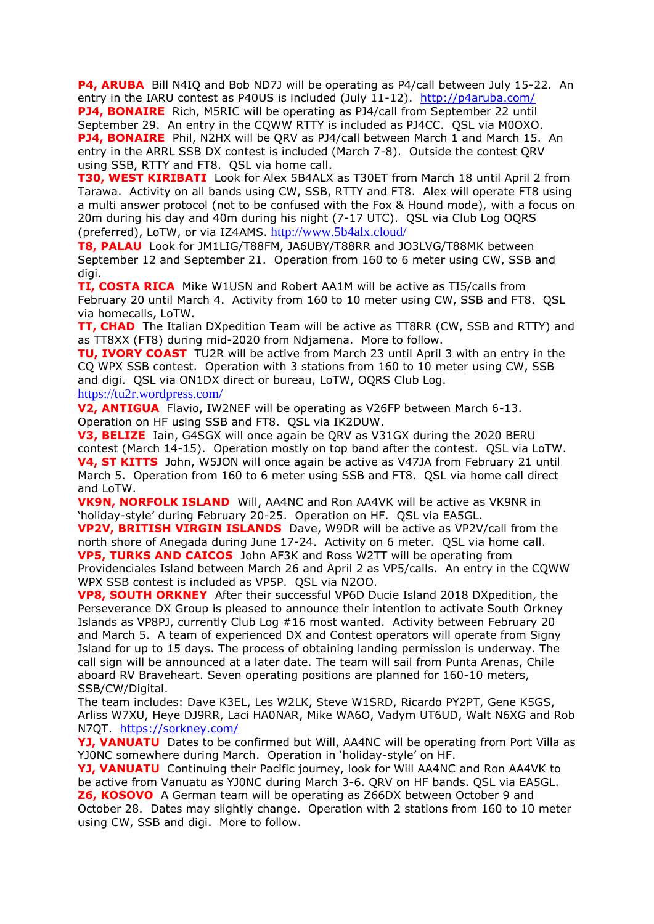**P4, ARUBA** Bill N4IQ and Bob ND7J will be operating as P4/call between July 15-22. An entry in the IARU contest as P40US is included (July 11-12). <http://p4aruba.com/> **PJ4, BONAIRE** Rich, M5RIC will be operating as PJ4/call from September 22 until September 29. An entry in the CQWW RTTY is included as PJ4CC. QSL via M0OXO. **PJ4, BONAIRE** Phil, N2HX will be QRV as PJ4/call between March 1 and March 15. An entry in the ARRL SSB DX contest is included (March 7-8). Outside the contest QRV using SSB, RTTY and FT8. QSL via home call.

**T30, WEST KIRIBATI** Look for Alex 5B4ALX as T30ET from March 18 until April 2 from Tarawa. Activity on all bands using CW, SSB, RTTY and FT8. Alex will operate FT8 using a multi answer protocol (not to be confused with the Fox & Hound mode), with a focus on 20m during his day and 40m during his night (7-17 UTC). QSL via Club Log OQRS (preferred), LoTW, or via IZ4AMS. <http://www.5b4alx.cloud/>

**T8, PALAU** Look for JM1LIG/T88FM, JA6UBY/T88RR and JO3LVG/T88MK between September 12 and September 21. Operation from 160 to 6 meter using CW, SSB and digi.

**TI, COSTA RICA** Mike W1USN and Robert AA1M will be active as TI5/calls from February 20 until March 4. Activity from 160 to 10 meter using CW, SSB and FT8. QSL via homecalls, LoTW.

**TT, CHAD** The Italian DXpedition Team will be active as TT8RR (CW, SSB and RTTY) and as TT8XX (FT8) during mid-2020 from Ndjamena. More to follow.

**TU, IVORY COAST** TU2R will be active from March 23 until April 3 with an entry in the CQ WPX SSB contest. Operation with 3 stations from 160 to 10 meter using CW, SSB and digi. QSL via ON1DX direct or bureau, LoTW, OQRS Club Log. <https://tu2r.wordpress.com/>

**V2, ANTIGUA** Flavio, IW2NEF will be operating as V26FP between March 6-13. Operation on HF using SSB and FT8. QSL via IK2DUW.

**V3, BELIZE** Iain, G4SGX will once again be QRV as V31GX during the 2020 BERU contest (March 14-15). Operation mostly on top band after the contest. QSL via LoTW. **V4, ST KITTS** John, W5JON will once again be active as V47JA from February 21 until March 5. Operation from 160 to 6 meter using SSB and FT8. QSL via home call direct and LoTW.

**VK9N, NORFOLK ISLAND** Will, AA4NC and Ron AA4VK will be active as VK9NR in 'holiday-style' during February 20-25. Operation on HF. QSL via EA5GL.

**VP2V, BRITISH VIRGIN ISLANDS** Dave, W9DR will be active as VP2V/call from the north shore of Anegada during June 17-24. Activity on 6 meter. QSL via home call. **VP5, TURKS AND CAICOS** John AF3K and Ross W2TT will be operating from

Providenciales Island between March 26 and April 2 as VP5/calls. An entry in the CQWW WPX SSB contest is included as VP5P. QSL via N2OO.

**VP8, SOUTH ORKNEY** After their successful VP6D Ducie Island 2018 DXpedition, the Perseverance DX Group is pleased to announce their intention to activate South Orkney Islands as VP8PJ, currently Club Log #16 most wanted. Activity between February 20 and March 5. A team of experienced DX and Contest operators will operate from Signy Island for up to 15 days. The process of obtaining landing permission is underway. The call sign will be announced at a later date. The team will sail from Punta Arenas, Chile aboard RV Braveheart. Seven operating positions are planned for 160-10 meters, SSB/CW/Digital.

The team includes: Dave K3EL, Les W2LK, Steve W1SRD, Ricardo PY2PT, Gene K5GS, Arliss W7XU, Heye DJ9RR, Laci HA0NAR, Mike WA6O, Vadym UT6UD, Walt N6XG and Rob N7QT. <https://sorkney.com/>

**YJ, VANUATU** Dates to be confirmed but Will, AA4NC will be operating from Port Villa as YJ0NC somewhere during March. Operation in 'holiday-style' on HF.

**YJ, VANUATU** Continuing their Pacific journey, look for Will AA4NC and Ron AA4VK to be active from Vanuatu as YJ0NC during March 3-6. QRV on HF bands. QSL via EA5GL. **Z6, KOSOVO** A German team will be operating as Z66DX between October 9 and October 28. Dates may slightly change. Operation with 2 stations from 160 to 10 meter using CW, SSB and digi. More to follow.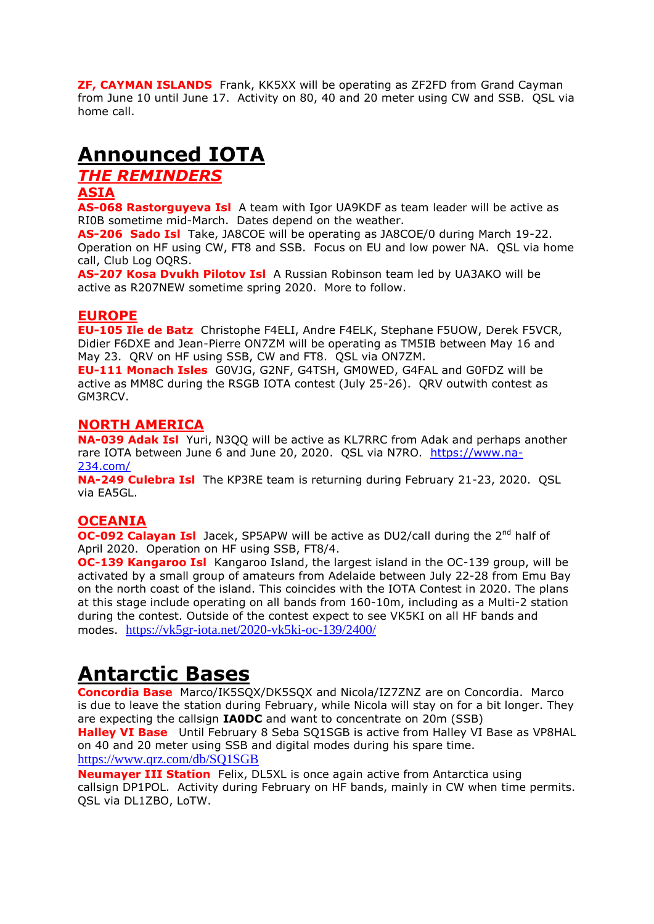**ZF, CAYMAN ISLANDS** Frank, KK5XX will be operating as ZF2FD from Grand Cayman from June 10 until June 17. Activity on 80, 40 and 20 meter using CW and SSB. QSL via home call.

### **Announced IOTA**

*THE REMINDERS*

#### **ASIA**

**AS-068 Rastorguyeva Isl** A team with Igor UA9KDF as team leader will be active as RI0B sometime mid-March. Dates depend on the weather.

**AS-206 Sado Isl** Take, JA8COE will be operating as JA8COE/0 during March 19-22. Operation on HF using CW, FT8 and SSB. Focus on EU and low power NA. QSL via home call, Club Log OQRS.

**AS-207 Kosa Dvukh Pilotov Isl** A Russian Robinson team led by UA3AKO will be active as R207NEW sometime spring 2020. More to follow.

#### **EUROPE**

**EU-105 Ile de Batz** Christophe F4ELI, Andre F4ELK, Stephane F5UOW, Derek F5VCR, Didier F6DXE and Jean-Pierre ON7ZM will be operating as TM5IB between May 16 and May 23. QRV on HF using SSB, CW and FT8. QSL via ON7ZM.

**EU-111 Monach Isles** G0VJG, G2NF, G4TSH, GM0WED, G4FAL and G0FDZ will be active as MM8C during the RSGB IOTA contest (July 25-26). QRV outwith contest as GM3RCV.

#### **NORTH AMERICA**

**NA-039 Adak Isl** Yuri, N3QQ will be active as KL7RRC from Adak and perhaps another rare IOTA between June 6 and June 20, 2020. QSL via N7RO. [https://www.na-](https://www.na-234.com/)[234.com/](https://www.na-234.com/)

**NA-249 Culebra Isl** The KP3RE team is returning during February 21-23, 2020. QSL via EA5GL.

#### **OCEANIA**

**OC-092 Calayan Isl** Jacek, SP5APW will be active as DU2/call during the 2<sup>nd</sup> half of April 2020. Operation on HF using SSB, FT8/4.

**OC-139 Kangaroo Isl** Kangaroo Island, the largest island in the OC-139 group, will be activated by a small group of amateurs from Adelaide between July 22-28 from Emu Bay on the north coast of the island. This coincides with the IOTA Contest in 2020. The plans at this stage include operating on all bands from 160-10m, including as a Multi-2 station during the contest. Outside of the contest expect to see VK5KI on all HF bands and modes. <https://vk5gr-iota.net/2020-vk5ki-oc-139/2400/>

### **Antarctic Bases**

**Concordia Base** Marco/IK5SQX/DK5SQX and Nicola/IZ7ZNZ are on Concordia. Marco is due to leave the station during February, while Nicola will stay on for a bit longer. They are expecting the callsign **IA0DC** and want to concentrate on 20m (SSB)

**Halley VI Base** Until February 8 Seba SQ1SGB is active from Halley VI Base as VP8HAL on 40 and 20 meter using SSB and digital modes during his spare time. <https://www.qrz.com/db/SQ1SGB>

**Neumayer III Station** Felix, DL5XL is once again active from Antarctica using callsign DP1POL. Activity during February on HF bands, mainly in CW when time permits. QSL via DL1ZBO, LoTW.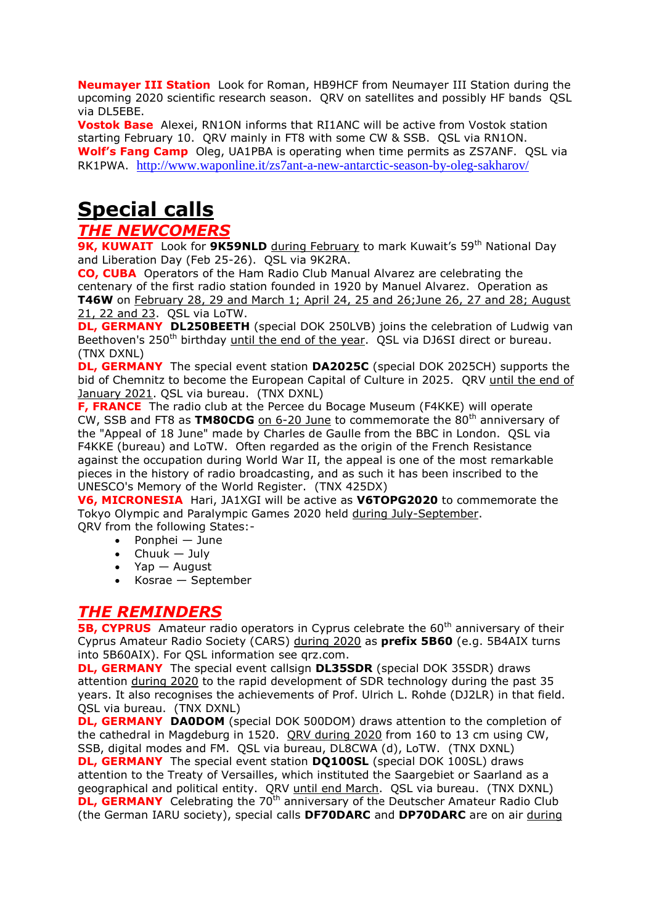**Neumayer III Station** Look for Roman, HB9HCF from Neumayer III Station during the upcoming 2020 scientific research season. QRV on satellites and possibly HF bands QSL via DL5EBE.

**Vostok Base** Alexei, RN1ON informs that RI1ANC will be active from Vostok station starting February 10. QRV mainly in FT8 with some CW & SSB. QSL via RN1ON. **Wolf's Fang Camp** Oleg, UA1PBA is operating when time permits as ZS7ANF. QSL via RK1PWA. <http://www.waponline.it/zs7ant-a-new-antarctic-season-by-oleg-sakharov/>

# **Special calls**

### *THE NEWCOMERS*

**9K, KUWAIT** Look for **9K59NLD** during February to mark Kuwait's 59<sup>th</sup> National Day and Liberation Day (Feb 25-26). QSL via 9K2RA.

**CO, CUBA** Operators of the Ham Radio Club Manual Alvarez are celebrating the centenary of the first radio station founded in 1920 by Manuel Alvarez. Operation as **T46W** on February 28, 29 and March 1; April 24, 25 and 26;June 26, 27 and 28; August 21, 22 and 23. QSL via LoTW.

**DL, GERMANY DL250BEETH** (special DOK 250LVB) joins the celebration of Ludwig van Beethoven's 250<sup>th</sup> birthday until the end of the year. QSL via DJ6SI direct or bureau. (TNX DXNL)

**DL, GERMANY** The special event station **DA2025C** (special DOK 2025CH) supports the bid of Chemnitz to become the European Capital of Culture in 2025. QRV until the end of January 2021. OSL via bureau. (TNX DXNL)

**F, FRANCE** The radio club at the Percee du Bocage Museum (F4KKE) will operate CW, SSB and FT8 as TM80CDG on 6-20 June to commemorate the 80<sup>th</sup> anniversary of the "Appeal of 18 June" made by Charles de Gaulle from the BBC in London. QSL via F4KKE (bureau) and LoTW. Often regarded as the origin of the French Resistance against the occupation during World War II, the appeal is one of the most remarkable pieces in the history of radio broadcasting, and as such it has been inscribed to the UNESCO's Memory of the World Register. (TNX 425DX)

**V6, MICRONESIA** Hari, JA1XGI will be active as **V6TOPG2020** to commemorate the Tokyo Olympic and Paralympic Games 2020 held during July-September. QRV from the following States:-

- Ponphei June
- $\bullet$  Chuuk July
- Yap August
- Kosrae September

### *THE REMINDERS*

**5B, CYPRUS** Amateur radio operators in Cyprus celebrate the 60<sup>th</sup> anniversary of their Cyprus Amateur Radio Society (CARS) during 2020 as **prefix 5B60** (e.g. 5B4AIX turns into 5B60AIX). For QSL information see qrz.com.

**DL, GERMANY** The special event callsign **DL35SDR** (special DOK 35SDR) draws attention during 2020 to the rapid development of SDR technology during the past 35 years. It also recognises the achievements of Prof. Ulrich L. Rohde (DJ2LR) in that field. QSL via bureau. (TNX DXNL)

**DL, GERMANY DA0DOM** (special DOK 500DOM) draws attention to the completion of the cathedral in Magdeburg in 1520. QRV during 2020 from 160 to 13 cm using CW, SSB, digital modes and FM. QSL via bureau, DL8CWA (d), LoTW. (TNX DXNL)

**DL, GERMANY** The special event station **DQ100SL** (special DOK 100SL) draws attention to the Treaty of Versailles, which instituted the Saargebiet or Saarland as a geographical and political entity. QRV until end March. QSL via bureau. (TNX DXNL) **DL, GERMANY** Celebrating the 70<sup>th</sup> anniversary of the Deutscher Amateur Radio Club (the German IARU society), special calls **DF70DARC** and **DP70DARC** are on air during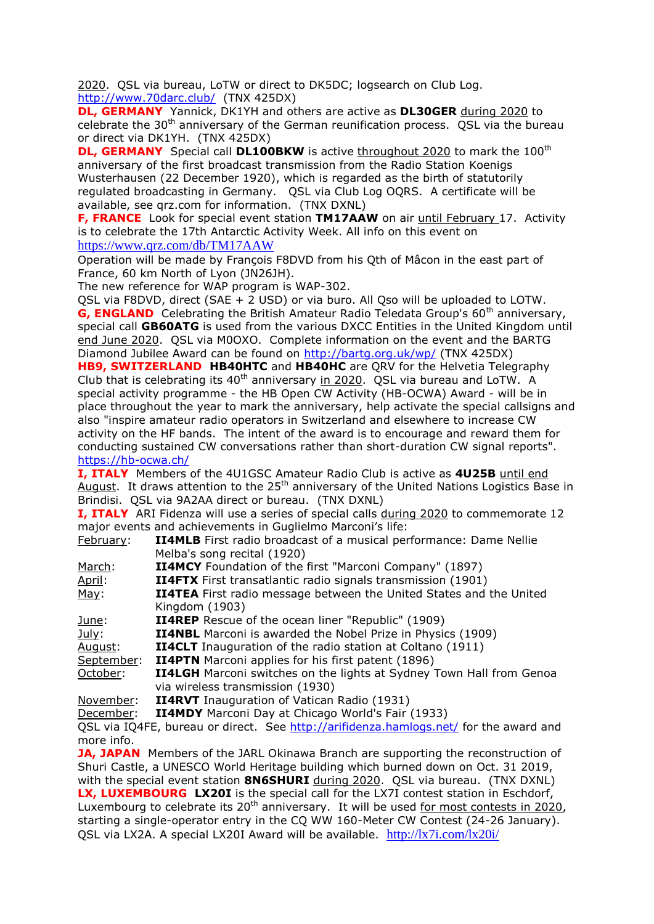2020. QSL via bureau, LoTW or direct to DK5DC; logsearch on Club Log. <http://www.70darc.club/>(TNX 425DX)

**DL, GERMANY** Yannick, DK1YH and others are active as **DL30GER** during 2020 to celebrate the  $30<sup>th</sup>$  anniversary of the German reunification process. QSL via the bureau or direct via DK1YH. (TNX 425DX)

**DL, GERMANY** Special call **DL100BKW** is active throughout 2020 to mark the 100<sup>th</sup> anniversary of the first broadcast transmission from the Radio Station Koenigs Wusterhausen (22 December 1920), which is regarded as the birth of statutorily regulated broadcasting in Germany. QSL via Club Log OQRS. A certificate will be available, see qrz.com for information. (TNX DXNL)

**F, FRANCE** Look for special event station **TM17AAW** on air until February 17. Activity is to celebrate the 17th Antarctic Activity Week. All info on this event on <https://www.qrz.com/db/TM17AAW>

Operation will be made by François F8DVD from his Qth of Mâcon in the east part of France, 60 km North of Lyon (JN26JH).

The new reference for WAP program is WAP-302.

QSL via F8DVD, direct (SAE + 2 USD) or via buro. All Qso will be uploaded to LOTW. **G, ENGLAND** Celebrating the British Amateur Radio Teledata Group's 60<sup>th</sup> anniversary, special call **GB60ATG** is used from the various DXCC Entities in the United Kingdom until end June 2020. QSL via M0OXO. Complete information on the event and the BARTG Diamond Jubilee Award can be found on<http://bartg.org.uk/wp/> (TNX 425DX)

**HB9, SWITZERLAND HB40HTC** and **HB40HC** are QRV for the Helvetia Telegraphy Club that is celebrating its  $40<sup>th</sup>$  anniversary in 2020. QSL via bureau and LoTW. A special activity programme - the HB Open CW Activity (HB-OCWA) Award - will be in place throughout the year to mark the anniversary, help activate the special callsigns and also "inspire amateur radio operators in Switzerland and elsewhere to increase CW activity on the HF bands. The intent of the award is to encourage and reward them for conducting sustained CW conversations rather than short-duration CW signal reports". <https://hb-ocwa.ch/>

**I, ITALY** Members of the 4U1GSC Amateur Radio Club is active as **4U25B** until end August. It draws attention to the 25<sup>th</sup> anniversary of the United Nations Logistics Base in Brindisi. QSL via 9A2AA direct or bureau. (TNX DXNL)

**I, ITALY** ARI Fidenza will use a series of special calls during 2020 to commemorate 12 major events and achievements in Guglielmo Marconi's life:

| February:  | <b>II4MLB</b> First radio broadcast of a musical performance: Dame Nellie  |
|------------|----------------------------------------------------------------------------|
|            | Melba's song recital (1920)                                                |
| March:     | <b>II4MCY</b> Foundation of the first "Marconi Company" (1897)             |
| April:     | <b>II4FTX</b> First transatlantic radio signals transmission (1901)        |
| May:       | <b>II4TEA</b> First radio message between the United States and the United |
|            | Kingdom (1903)                                                             |
| June:      | <b>II4REP</b> Rescue of the ocean liner "Republic" (1909)                  |
| July:      | <b>II4NBL</b> Marconi is awarded the Nobel Prize in Physics (1909)         |
| August:    | <b>II4CLT</b> Inauguration of the radio station at Coltano (1911)          |
| September: | <b>II4PTN</b> Marconi applies for his first patent (1896)                  |
| October:   | II4LGH Marconi switches on the lights at Sydney Town Hall from Genoa       |
|            | via wireless transmission (1930)                                           |
| November:  | <b>II4RVT</b> Inauguration of Vatican Radio (1931)                         |

December: **II4MDY** Marconi Day at Chicago World's Fair (1933)

QSL via IQ4FE, bureau or direct. See<http://arifidenza.hamlogs.net/> for the award and more info.

**JA, JAPAN** Members of the JARL Okinawa Branch are supporting the reconstruction of Shuri Castle, a UNESCO World Heritage building which burned down on Oct. 31 2019, with the special event station **8N6SHURI** during 2020. QSL via bureau. (TNX DXNL) **LX, LUXEMBOURG LX20I** is the special call for the LX7I contest station in Eschdorf, Luxembourg to celebrate its 20<sup>th</sup> anniversary. It will be used for most contests in 2020, starting a single-operator entry in the CQ WW 160-Meter CW Contest (24-26 January). QSL via LX2A. A special LX20I Award will be available. <http://lx7i.com/lx20i/>